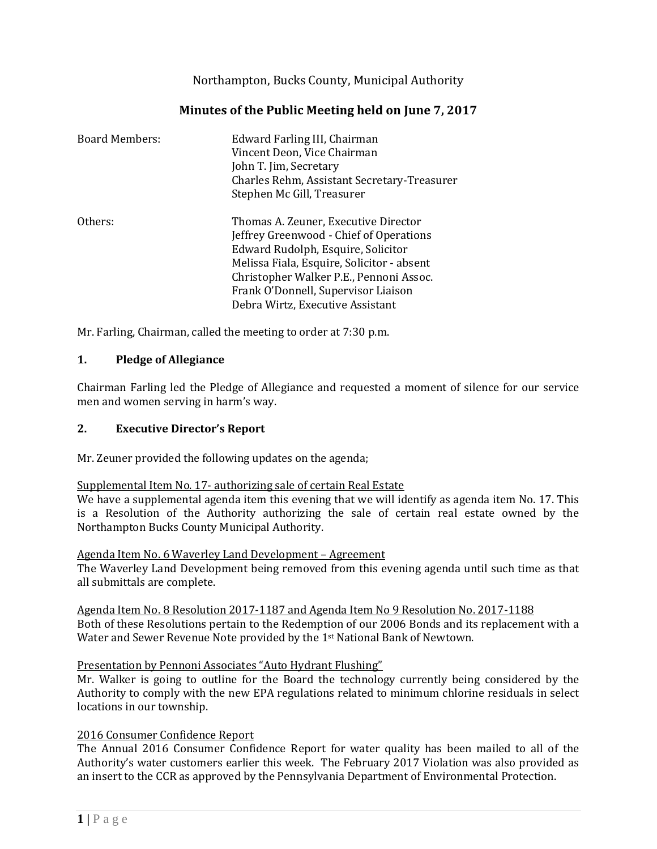Northampton, Bucks County, Municipal Authority

| <b>Board Members:</b> | Edward Farling III, Chairman<br>Vincent Deon, Vice Chairman<br>John T. Jim, Secretary<br>Charles Rehm, Assistant Secretary-Treasurer<br>Stephen Mc Gill, Treasurer                                                                                                                        |
|-----------------------|-------------------------------------------------------------------------------------------------------------------------------------------------------------------------------------------------------------------------------------------------------------------------------------------|
| Others:               | Thomas A. Zeuner, Executive Director<br>Jeffrey Greenwood - Chief of Operations<br>Edward Rudolph, Esquire, Solicitor<br>Melissa Fiala, Esquire, Solicitor - absent<br>Christopher Walker P.E., Pennoni Assoc.<br>Frank O'Donnell, Supervisor Liaison<br>Debra Wirtz, Executive Assistant |

Mr. Farling, Chairman, called the meeting to order at 7:30 p.m.

# **1. Pledge of Allegiance**

Chairman Farling led the Pledge of Allegiance and requested a moment of silence for our service men and women serving in harm's way.

# **2. Executive Director's Report**

Mr. Zeuner provided the following updates on the agenda;

## Supplemental Item No. 17- authorizing sale of certain Real Estate

We have a supplemental agenda item this evening that we will identify as agenda item No. 17. This is a Resolution of the Authority authorizing the sale of certain real estate owned by the Northampton Bucks County Municipal Authority.

Agenda Item No. 6 Waverley Land Development – Agreement

The Waverley Land Development being removed from this evening agenda until such time as that all submittals are complete.

Agenda Item No. 8 Resolution 2017-1187 and Agenda Item No 9 Resolution No. 2017-1188 Both of these Resolutions pertain to the Redemption of our 2006 Bonds and its replacement with a Water and Sewer Revenue Note provided by the 1st National Bank of Newtown.

## Presentation by Pennoni Associates "Auto Hydrant Flushing"

Mr. Walker is going to outline for the Board the technology currently being considered by the Authority to comply with the new EPA regulations related to minimum chlorine residuals in select locations in our township.

## 2016 Consumer Confidence Report

The Annual 2016 Consumer Confidence Report for water quality has been mailed to all of the Authority's water customers earlier this week. The February 2017 Violation was also provided as an insert to the CCR as approved by the Pennsylvania Department of Environmental Protection.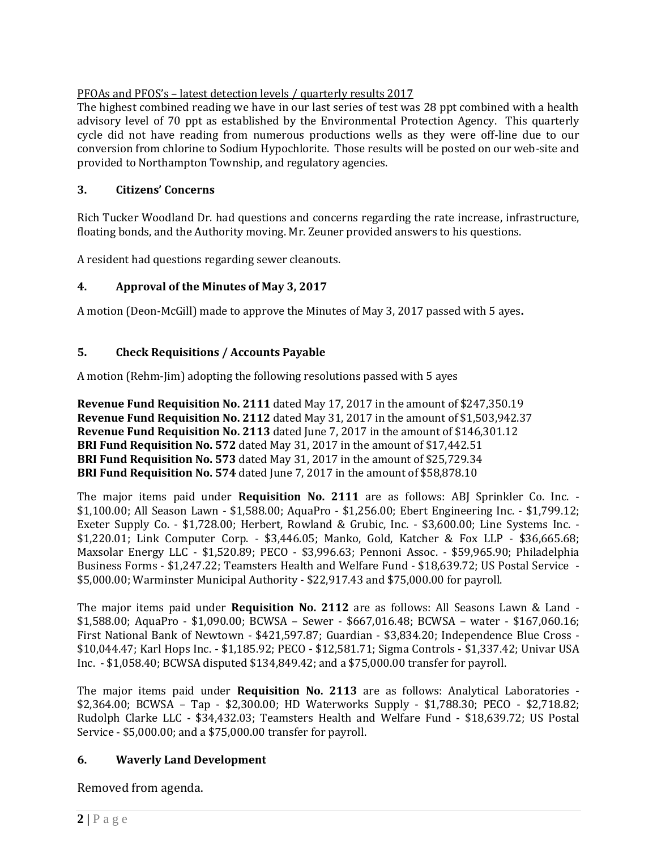# PFOAs and PFOS's – latest detection levels / quarterly results 2017

The highest combined reading we have in our last series of test was 28 ppt combined with a health advisory level of 70 ppt as established by the Environmental Protection Agency. This quarterly cycle did not have reading from numerous productions wells as they were off-line due to our conversion from chlorine to Sodium Hypochlorite. Those results will be posted on our web-site and provided to Northampton Township, and regulatory agencies.

# **3. Citizens' Concerns**

Rich Tucker Woodland Dr. had questions and concerns regarding the rate increase, infrastructure, floating bonds, and the Authority moving. Mr. Zeuner provided answers to his questions.

A resident had questions regarding sewer cleanouts.

# **4. Approval of the Minutes of May 3, 2017**

A motion (Deon-McGill) made to approve the Minutes of May 3, 2017 passed with 5 ayes**.**

# **5. Check Requisitions / Accounts Payable**

A motion (Rehm-Jim) adopting the following resolutions passed with 5 ayes

**Revenue Fund Requisition No. 2111** dated May 17, 2017 in the amount of \$247,350.19 **Revenue Fund Requisition No. 2112** dated May 31, 2017 in the amount of \$1,503,942.37 **Revenue Fund Requisition No. 2113** dated June 7, 2017 in the amount of \$146,301.12 **BRI Fund Requisition No. 572** dated May 31, 2017 in the amount of \$17,442.51 **BRI Fund Requisition No. 573** dated May 31, 2017 in the amount of \$25,729.34 **BRI Fund Requisition No. 574** dated June 7, 2017 in the amount of \$58,878.10

The major items paid under **Requisition No. 2111** are as follows: ABJ Sprinkler Co. Inc. - \$1,100.00; All Season Lawn - \$1,588.00; AquaPro - \$1,256.00; Ebert Engineering Inc. - \$1,799.12; Exeter Supply Co. - \$1,728.00; Herbert, Rowland & Grubic, Inc. - \$3,600.00; Line Systems Inc. - \$1,220.01; Link Computer Corp. - \$3,446.05; Manko, Gold, Katcher & Fox LLP - \$36,665.68; Maxsolar Energy LLC - \$1,520.89; PECO - \$3,996.63; Pennoni Assoc. - \$59,965.90; Philadelphia Business Forms - \$1,247.22; Teamsters Health and Welfare Fund - \$18,639.72; US Postal Service - \$5,000.00; Warminster Municipal Authority - \$22,917.43 and \$75,000.00 for payroll.

The major items paid under **Requisition No. 2112** are as follows: All Seasons Lawn & Land - \$1,588.00; AquaPro - \$1,090.00; BCWSA – Sewer - \$667,016.48; BCWSA – water - \$167,060.16; First National Bank of Newtown - \$421,597.87; Guardian - \$3,834.20; Independence Blue Cross - \$10,044.47; Karl Hops Inc. - \$1,185.92; PECO - \$12,581.71; Sigma Controls - \$1,337.42; Univar USA Inc. - \$1,058.40; BCWSA disputed \$134,849.42; and a \$75,000.00 transfer for payroll.

The major items paid under **Requisition No. 2113** are as follows: Analytical Laboratories - \$2,364.00; BCWSA – Tap - \$2,300.00; HD Waterworks Supply - \$1,788.30; PECO - \$2,718.82; Rudolph Clarke LLC - \$34,432.03; Teamsters Health and Welfare Fund - \$18,639.72; US Postal Service - \$5,000.00; and a \$75,000.00 transfer for payroll.

# **6. Waverly Land Development**

Removed from agenda.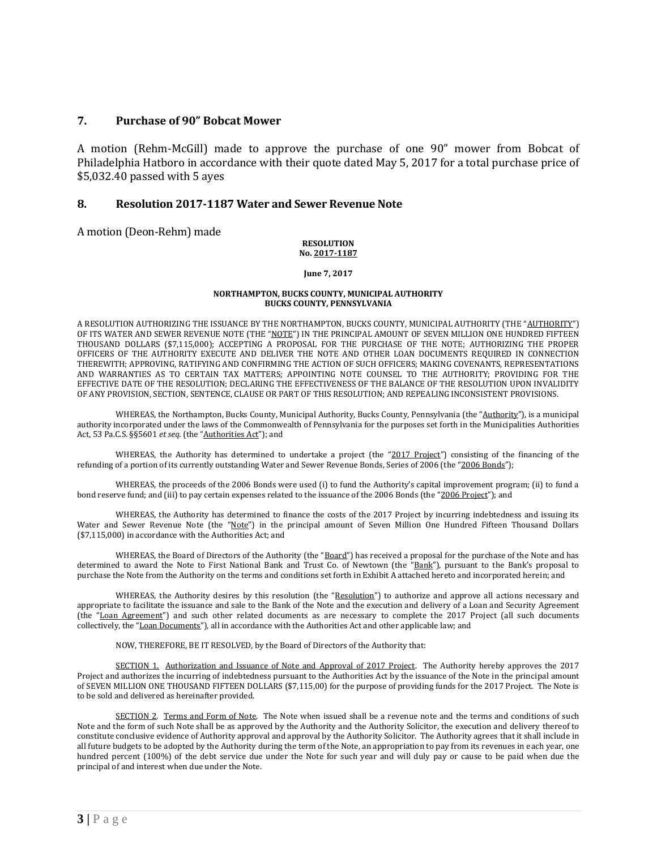### **7. Purchase of 90" Bobcat Mower**

A motion (Rehm-McGill) made to approve the purchase of one 90" mower from Bobcat of Philadelphia Hatboro in accordance with their quote dated May 5, 2017 for a total purchase price of \$5,032.40 passed with 5 ayes

### **8. Resolution 2017-1187 Water and Sewer Revenue Note**

A motion (Deon-Rehm) made

### **RESOLUTION No. 2017-1187**

**June 7, 2017**

### **NORTHAMPTON, BUCKS COUNTY, MUNICIPAL AUTHORITY BUCKS COUNTY, PENNSYLVANIA**

A RESOLUTION AUTHORIZING THE ISSUANCE BY THE NORTHAMPTON, BUCKS COUNTY, MUNICIPAL AUTHORITY (THE "AUTHORITY") OF ITS WATER AND SEWER REVENUE NOTE (THE "NOTE") IN THE PRINCIPAL AMOUNT OF SEVEN MILLION ONE HUNDRED FIFTEEN THOUSAND DOLLARS (\$7,115,000); ACCEPTING A PROPOSAL FOR THE PURCHASE OF THE NOTE; AUTHORIZING THE PROPER OFFICERS OF THE AUTHORITY EXECUTE AND DELIVER THE NOTE AND OTHER LOAN DOCUMENTS REQUIRED IN CONNECTION THEREWITH; APPROVING, RATIFYING AND CONFIRMING THE ACTION OF SUCH OFFICERS; MAKING COVENANTS, REPRESENTATIONS AND WARRANTIES AS TO CERTAIN TAX MATTERS; APPOINTING NOTE COUNSEL TO THE AUTHORITY; PROVIDING FOR THE EFFECTIVE DATE OF THE RESOLUTION; DECLARING THE EFFECTIVENESS OF THE BALANCE OF THE RESOLUTION UPON INVALIDITY OF ANY PROVISION, SECTION, SENTENCE, CLAUSE OR PART OF THIS RESOLUTION; AND REPEALING INCONSISTENT PROVISIONS.

WHEREAS, the Northampton, Bucks County, Municipal Authority, Bucks County, Pennsylvania (the "Authority"), is a municipal authority incorporated under the laws of the Commonwealth of Pennsylvania for the purposes set forth in the Municipalities Authorities Act, 53 Pa.C.S. §§5601 *et seq.* (the "Authorities Act"); and

WHEREAS, the Authority has determined to undertake a project (the "2017 Project") consisting of the financing of the refunding of a portion of its currently outstanding Water and Sewer Revenue Bonds, Series of 2006 (the "2006 Bonds");

WHEREAS, the proceeds of the 2006 Bonds were used (i) to fund the Authority's capital improvement program; (ii) to fund a bond reserve fund; and (iii) to pay certain expenses related to the issuance of the 2006 Bonds (the "2006 Project"); and

WHEREAS, the Authority has determined to finance the costs of the 2017 Project by incurring indebtedness and issuing its Water and Sewer Revenue Note (the "Note") in the principal amount of Seven Million One Hundred Fifteen Thousand Dollars (\$7,115,000) in accordance with the Authorities Act; and

WHEREAS, the Board of Directors of the Authority (the "Board") has received a proposal for the purchase of the Note and has determined to award the Note to First National Bank and Trust Co. of Newtown (the "Bank"), pursuant to the Bank's proposal to purchase the Note from the Authority on the terms and conditions set forth in Exhibit A attached hereto and incorporated herein; and

WHEREAS, the Authority desires by this resolution (the "Resolution") to authorize and approve all actions necessary and appropriate to facilitate the issuance and sale to the Bank of the Note and the execution and delivery of a Loan and Security Agreement (the "Loan Agreement") and such other related documents as are necessary to complete the 2017 Project (all such documents collectively, the "Loan Documents"), all in accordance with the Authorities Act and other applicable law; and

NOW, THEREFORE, BE IT RESOLVED, by the Board of Directors of the Authority that:

SECTION 1. Authorization and Issuance of Note and Approval of 2017 Project. The Authority hereby approves the 2017 Project and authorizes the incurring of indebtedness pursuant to the Authorities Act by the issuance of the Note in the principal amount of SEVEN MILLION ONE THOUSAND FIFTEEN DOLLARS (\$7,115,00) for the purpose of providing funds for the 2017 Project. The Note is to be sold and delivered as hereinafter provided.

SECTION 2. Terms and Form of Note. The Note when issued shall be a revenue note and the terms and conditions of such Note and the form of such Note shall be as approved by the Authority and the Authority Solicitor, the execution and delivery thereof to constitute conclusive evidence of Authority approval and approval by the Authority Solicitor. The Authority agrees that it shall include in all future budgets to be adopted by the Authority during the term of the Note, an appropriation to pay from its revenues in each year, one hundred percent (100%) of the debt service due under the Note for such year and will duly pay or cause to be paid when due the principal of and interest when due under the Note.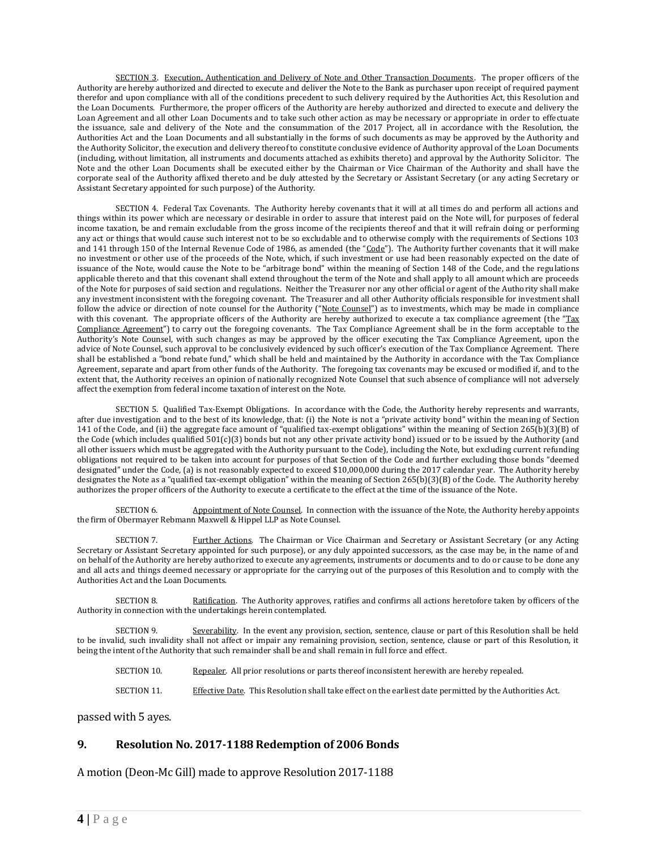SECTION 3. Execution, Authentication and Delivery of Note and Other Transaction Documents. The proper officers of the Authority are hereby authorized and directed to execute and deliver the Note to the Bank as purchaser upon receipt of required payment therefor and upon compliance with all of the conditions precedent to such delivery required by the Authorities Act, this Resolution and the Loan Documents. Furthermore, the proper officers of the Authority are hereby authorized and directed to execute and delivery the Loan Agreement and all other Loan Documents and to take such other action as may be necessary or appropriate in order to effectuate the issuance, sale and delivery of the Note and the consummation of the 2017 Project, all in accordance with the Resolution, the Authorities Act and the Loan Documents and all substantially in the forms of such documents as may be approved by the Authority and the Authority Solicitor, the execution and delivery thereof to constitute conclusive evidence of Authority approval of the Loan Documents (including, without limitation, all instruments and documents attached as exhibits thereto) and approval by the Authority Solicitor. The Note and the other Loan Documents shall be executed either by the Chairman or Vice Chairman of the Authority and shall have the corporate seal of the Authority affixed thereto and be duly attested by the Secretary or Assistant Secretary (or any acting Secretary or Assistant Secretary appointed for such purpose) of the Authority.

SECTION 4. Federal Tax Covenants. The Authority hereby covenants that it will at all times do and perform all actions and things within its power which are necessary or desirable in order to assure that interest paid on the Note will, for purposes of federal income taxation, be and remain excludable from the gross income of the recipients thereof and that it will refrain doing or performing any act or things that would cause such interest not to be so excludable and to otherwise comply with the requirements of Sections 103 and 141 through 150 of the Internal Revenue Code of 1986, as amended (the "Code"). The Authority further covenants that it will make no investment or other use of the proceeds of the Note, which, if such investment or use had been reasonably expected on the date of issuance of the Note, would cause the Note to be "arbitrage bond" within the meaning of Section 148 of the Code, and the regulations applicable thereto and that this covenant shall extend throughout the term of the Note and shall apply to all amount which are proceeds of the Note for purposes of said section and regulations. Neither the Treasurer nor any other official or agent of the Authority shall make any investment inconsistent with the foregoing covenant. The Treasurer and all other Authority officials responsible for investment shall follow the advice or direction of note counsel for the Authority ("Note Counsel") as to investments, which may be made in compliance with this covenant. The appropriate officers of the Authority are hereby authorized to execute a tax compliance agreement (the "Tax Compliance Agreement") to carry out the foregoing covenants. The Tax Compliance Agreement shall be in the form acceptable to the Authority's Note Counsel, with such changes as may be approved by the officer executing the Tax Compliance Agreement, upon the advice of Note Counsel, such approval to be conclusively evidenced by such officer's execution of the Tax Compliance Agreement. There shall be established a "bond rebate fund," which shall be held and maintained by the Authority in accordance with the Tax Compliance Agreement, separate and apart from other funds of the Authority. The foregoing tax covenants may be excused or modified if, and to the extent that, the Authority receives an opinion of nationally recognized Note Counsel that such absence of compliance will not adversely affect the exemption from federal income taxation of interest on the Note.

SECTION 5. Qualified Tax-Exempt Obligations. In accordance with the Code, the Authority hereby represents and warrants, after due investigation and to the best of its knowledge, that: (i) the Note is not a "private activity bond" within the meaning of Section 141 of the Code, and (ii) the aggregate face amount of "qualified tax-exempt obligations" within the meaning of Section 265(b)(3)(B) of the Code (which includes qualified 501(c)(3) bonds but not any other private activity bond) issued or to be issued by the Authority (and all other issuers which must be aggregated with the Authority pursuant to the Code), including the Note, but excluding current refunding obligations not required to be taken into account for purposes of that Section of the Code and further excluding those bonds "deemed designated" under the Code, (a) is not reasonably expected to exceed \$10,000,000 during the 2017 calendar year. The Authority hereby designates the Note as a "qualified tax-exempt obligation" within the meaning of Section 265(b)(3)(B) of the Code. The Authority hereby authorizes the proper officers of the Authority to execute a certificate to the effect at the time of the issuance of the Note.

SECTION 6. Appointment of Note Counsel. In connection with the issuance of the Note, the Authority hereby appoints the firm of Obermayer Rebmann Maxwell & Hippel LLP as Note Counsel.

SECTION 7. Further Actions. The Chairman or Vice Chairman and Secretary or Assistant Secretary (or any Acting Secretary or Assistant Secretary appointed for such purpose), or any duly appointed successors, as the case may be, in the name of and on behalf of the Authority are hereby authorized to execute any agreements, instruments or documents and to do or cause to be done any and all acts and things deemed necessary or appropriate for the carrying out of the purposes of this Resolution and to comply with the Authorities Act and the Loan Documents.

SECTION 8. Ratification. The Authority approves, ratifies and confirms all actions heretofore taken by officers of the Authority in connection with the undertakings herein contemplated.

SECTION 9. Severability. In the event any provision, section, sentence, clause or part of this Resolution shall be held to be invalid, such invalidity shall not affect or impair any remaining provision, section, sentence, clause or part of this Resolution, it being the intent of the Authority that such remainder shall be and shall remain in full force and effect.

- SECTION 10. Repealer. All prior resolutions or parts thereof inconsistent herewith are hereby repealed.
- SECTION 11. Effective Date. This Resolution shall take effect on the earliest date permitted by the Authorities Act.

passed with 5 ayes.

### **9. Resolution No. 2017-1188 Redemption of 2006 Bonds**

A motion (Deon-Mc Gill) made to approve Resolution 2017-1188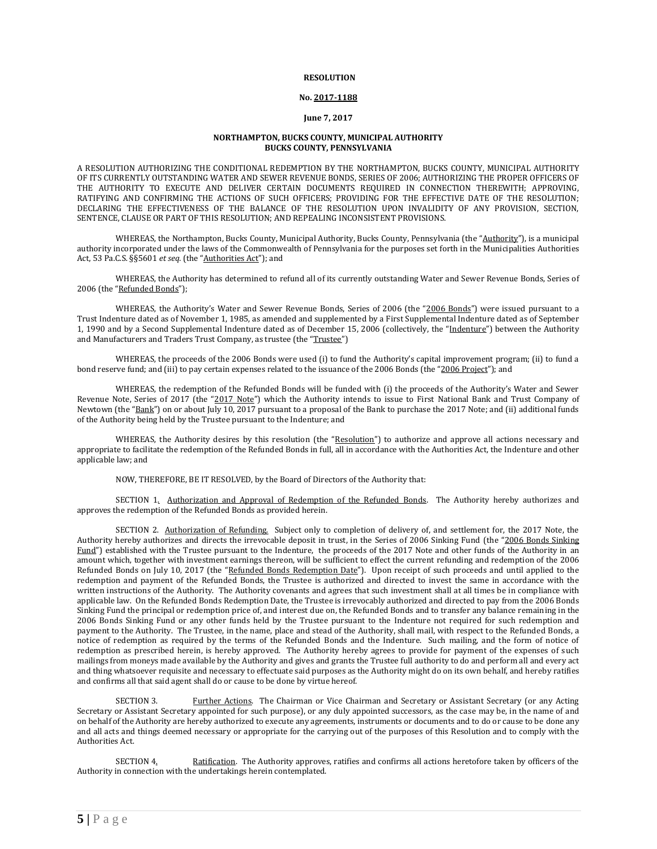#### **RESOLUTION**

#### **No. 2017-1188**

#### **June 7, 2017**

### **NORTHAMPTON, BUCKS COUNTY, MUNICIPAL AUTHORITY BUCKS COUNTY, PENNSYLVANIA**

A RESOLUTION AUTHORIZING THE CONDITIONAL REDEMPTION BY THE NORTHAMPTON, BUCKS COUNTY, MUNICIPAL AUTHORITY OF ITS CURRENTLY OUTSTANDING WATER AND SEWER REVENUE BONDS, SERIES OF 2006; AUTHORIZING THE PROPER OFFICERS OF THE AUTHORITY TO EXECUTE AND DELIVER CERTAIN DOCUMENTS REQUIRED IN CONNECTION THEREWITH; APPROVING, RATIFYING AND CONFIRMING THE ACTIONS OF SUCH OFFICERS; PROVIDING FOR THE EFFECTIVE DATE OF THE RESOLUTION; DECLARING THE EFFECTIVENESS OF THE BALANCE OF THE RESOLUTION UPON INVALIDITY OF ANY PROVISION, SECTION, SENTENCE, CLAUSE OR PART OF THIS RESOLUTION; AND REPEALING INCONSISTENT PROVISIONS.

WHEREAS, the Northampton, Bucks County, Municipal Authority, Bucks County, Pennsylvania (the "Authority"), is a municipal authority incorporated under the laws of the Commonwealth of Pennsylvania for the purposes set forth in the Municipalities Authorities Act, 53 Pa.C.S. §§5601 *et seq.* (the "Authorities Act"); and

WHEREAS, the Authority has determined to refund all of its currently outstanding Water and Sewer Revenue Bonds, Series of 2006 (the "Refunded Bonds");

WHEREAS, the Authority's Water and Sewer Revenue Bonds, Series of 2006 (the "2006 Bonds") were issued pursuant to a Trust Indenture dated as of November 1, 1985, as amended and supplemented by a First Supplemental Indenture dated as of September 1, 1990 and by a Second Supplemental Indenture dated as of December 15, 2006 (collectively, the "Indenture") between the Authority and Manufacturers and Traders Trust Company, as trustee (the "Trustee")

WHEREAS, the proceeds of the 2006 Bonds were used (i) to fund the Authority's capital improvement program; (ii) to fund a bond reserve fund; and (iii) to pay certain expenses related to the issuance of the 2006 Bonds (the "2006 Project"); and

WHEREAS, the redemption of the Refunded Bonds will be funded with (i) the proceeds of the Authority's Water and Sewer Revenue Note, Series of 2017 (the "2017 Note") which the Authority intends to issue to First National Bank and Trust Company of Newtown (the "Bank") on or about July 10, 2017 pursuant to a proposal of the Bank to purchase the 2017 Note; and (ii) additional funds of the Authority being held by the Trustee pursuant to the Indenture; and

WHEREAS, the Authority desires by this resolution (the "Resolution") to authorize and approve all actions necessary and appropriate to facilitate the redemption of the Refunded Bonds in full, all in accordance with the Authorities Act, the Indenture and other applicable law; and

NOW, THEREFORE, BE IT RESOLVED, by the Board of Directors of the Authority that:

SECTION 1. Authorization and Approval of Redemption of the Refunded Bonds. The Authority hereby authorizes and approves the redemption of the Refunded Bonds as provided herein.

SECTION 2. Authorization of Refunding. Subject only to completion of delivery of, and settlement for, the 2017 Note, the Authority hereby authorizes and directs the irrevocable deposit in trust, in the Series of 2006 Sinking Fund (the "2006 Bonds Sinking Fund") established with the Trustee pursuant to the Indenture, the proceeds of the 2017 Note and other funds of the Authority in an amount which, together with investment earnings thereon, will be sufficient to effect the current refunding and redemption of the 2006 Refunded Bonds on July 10, 2017 (the "Refunded Bonds Redemption Date"). Upon receipt of such proceeds and until applied to the redemption and payment of the Refunded Bonds, the Trustee is authorized and directed to invest the same in accordance with the written instructions of the Authority. The Authority covenants and agrees that such investment shall at all times be in compliance with applicable law. On the Refunded Bonds Redemption Date, the Trustee is irrevocably authorized and directed to pay from the 2006 Bonds Sinking Fund the principal or redemption price of, and interest due on, the Refunded Bonds and to transfer any balance remaining in the 2006 Bonds Sinking Fund or any other funds held by the Trustee pursuant to the Indenture not required for such redemption and payment to the Authority. The Trustee, in the name, place and stead of the Authority, shall mail, with respect to the Refunded Bonds, a notice of redemption as required by the terms of the Refunded Bonds and the Indenture. Such mailing, and the form of notice of redemption as prescribed herein, is hereby approved. The Authority hereby agrees to provide for payment of the expenses of such mailings from moneys made available by the Authority and gives and grants the Trustee full authority to do and perform all and every act and thing whatsoever requisite and necessary to effectuate said purposes as the Authority might do on its own behalf, and hereby ratifies and confirms all that said agent shall do or cause to be done by virtue hereof.

SECTION 3. Further Actions. The Chairman or Vice Chairman and Secretary or Assistant Secretary (or any Acting Secretary or Assistant Secretary appointed for such purpose), or any duly appointed successors, as the case may be, in the name of and on behalf of the Authority are hereby authorized to execute any agreements, instruments or documents and to do or cause to be done any and all acts and things deemed necessary or appropriate for the carrying out of the purposes of this Resolution and to comply with the Authorities Act.

SECTION 4. Ratification. The Authority approves, ratifies and confirms all actions heretofore taken by officers of the Authority in connection with the undertakings herein contemplated.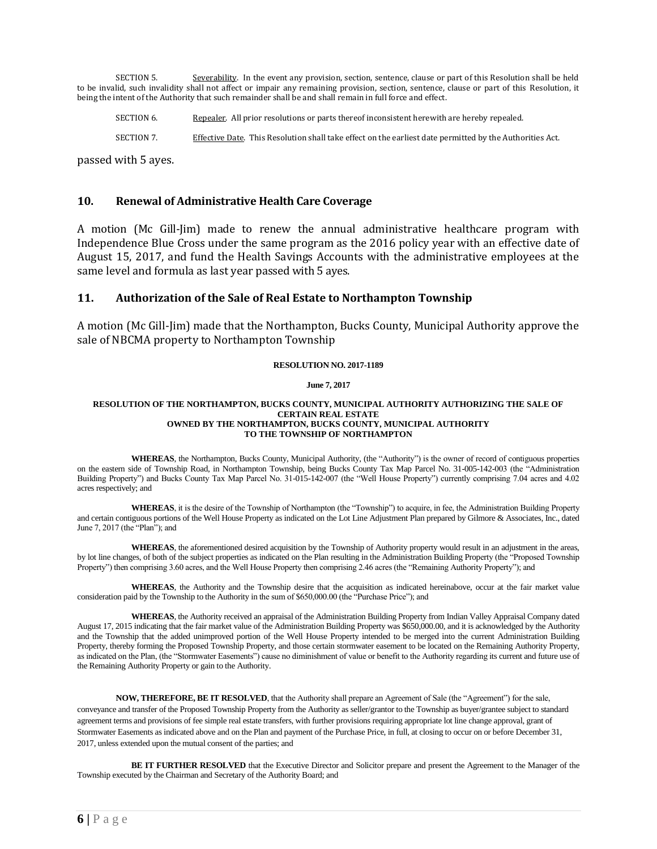SECTION 5. Severability. In the event any provision, section, sentence, clause or part of this Resolution shall be held to be invalid, such invalidity shall not affect or impair any remaining provision, section, sentence, clause or part of this Resolution, it being the intent of the Authority that such remainder shall be and shall remain in full force and effect.

- SECTION 6. Repealer. All prior resolutions or parts thereof inconsistent herewith are hereby repealed.
- SECTION 7. Effective Date. This Resolution shall take effect on the earliest date permitted by the Authorities Act.

passed with 5 ayes.

### **10. Renewal of Administrative Health Care Coverage**

A motion (Mc Gill-Jim) made to renew the annual administrative healthcare program with Independence Blue Cross under the same program as the 2016 policy year with an effective date of August 15, 2017, and fund the Health Savings Accounts with the administrative employees at the same level and formula as last year passed with 5 ayes.

### **11. Authorization of the Sale of Real Estate to Northampton Township**

A motion (Mc Gill-Jim) made that the Northampton, Bucks County, Municipal Authority approve the sale of NBCMA property to Northampton Township

### **RESOLUTION NO. 2017-1189**

#### **June 7, 2017**

#### **RESOLUTION OF THE NORTHAMPTON, BUCKS COUNTY, MUNICIPAL AUTHORITY AUTHORIZING THE SALE OF CERTAIN REAL ESTATE OWNED BY THE NORTHAMPTON, BUCKS COUNTY, MUNICIPAL AUTHORITY TO THE TOWNSHIP OF NORTHAMPTON**

**WHEREAS**, the Northampton, Bucks County, Municipal Authority, (the "Authority") is the owner of record of contiguous properties on the eastern side of Township Road, in Northampton Township, being Bucks County Tax Map Parcel No. 31-005-142-003 (the "Administration Building Property") and Bucks County Tax Map Parcel No. 31-015-142-007 (the "Well House Property") currently comprising 7.04 acres and 4.02 acres respectively; and

**WHEREAS**, it is the desire of the Township of Northampton (the "Township") to acquire, in fee, the Administration Building Property and certain contiguous portions of the Well House Property as indicated on the Lot Line Adjustment Plan prepared by Gilmore & Associates, Inc., dated June 7, 2017 (the "Plan"); and

**WHEREAS**, the aforementioned desired acquisition by the Township of Authority property would result in an adjustment in the areas, by lot line changes, of both of the subject properties as indicated on the Plan resulting in the Administration Building Property (the "Proposed Township Property") then comprising 3.60 acres, and the Well House Property then comprising 2.46 acres (the "Remaining Authority Property"); and

**WHEREAS**, the Authority and the Township desire that the acquisition as indicated hereinabove, occur at the fair market value consideration paid by the Township to the Authority in the sum of \$650,000.00 (the "Purchase Price"); and

**WHEREAS**, the Authority received an appraisal of the Administration Building Property from Indian Valley Appraisal Company dated August 17, 2015 indicating that the fair market value of the Administration Building Property was \$650,000.00, and it is acknowledged by the Authority and the Township that the added unimproved portion of the Well House Property intended to be merged into the current Administration Building Property, thereby forming the Proposed Township Property, and those certain stormwater easement to be located on the Remaining Authority Property, as indicated on the Plan, (the "Stormwater Easements") cause no diminishment of value or benefit to the Authority regarding its current and future use of the Remaining Authority Property or gain to the Authority.

**NOW, THEREFORE, BE IT RESOLVED**, that the Authority shall prepare an Agreement of Sale (the "Agreement") for the sale, conveyance and transfer of the Proposed Township Property from the Authority as seller/grantor to the Township as buyer/grantee subject to standard agreement terms and provisions of fee simple real estate transfers, with further provisions requiring appropriate lot line change approval, grant of Stormwater Easements as indicated above and on the Plan and payment of the Purchase Price, in full, at closing to occur on or before December 31, 2017, unless extended upon the mutual consent of the parties; and

**BE IT FURTHER RESOLVED** that the Executive Director and Solicitor prepare and present the Agreement to the Manager of the Township executed by the Chairman and Secretary of the Authority Board; and